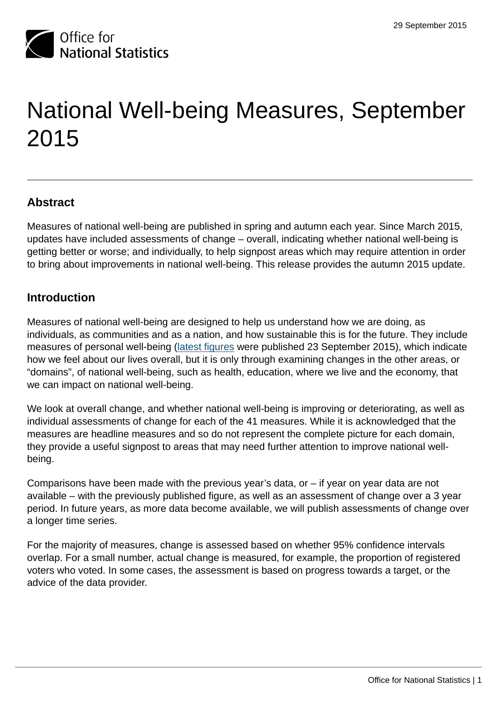

# National Well-being Measures, September 2015

## **Abstract**

Measures of national well-being are published in spring and autumn each year. Since March 2015, updates have included assessments of change – overall, indicating whether national well-being is getting better or worse; and individually, to help signpost areas which may require attention in order to bring about improvements in national well-being. This release provides the autumn 2015 update.

#### **Introduction**

Measures of national well-being are designed to help us understand how we are doing, as individuals, as communities and as a nation, and how sustainable this is for the future. They include measures of personal well-being [\(latest figures](http://www.ons.gov.uk:80/ons/rel/wellbeing/measuring-national-well-being/personal-well-being-in-the-uk--2014-15/index.html) were published 23 September 2015), which indicate how we feel about our lives overall, but it is only through examining changes in the other areas, or "domains", of national well-being, such as health, education, where we live and the economy, that we can impact on national well-being.

We look at overall change, and whether national well-being is improving or deteriorating, as well as individual assessments of change for each of the 41 measures. While it is acknowledged that the measures are headline measures and so do not represent the complete picture for each domain, they provide a useful signpost to areas that may need further attention to improve national wellbeing.

Comparisons have been made with the previous year's data, or – if year on year data are not available – with the previously published figure, as well as an assessment of change over a 3 year period. In future years, as more data become available, we will publish assessments of change over a longer time series.

For the majority of measures, change is assessed based on whether 95% confidence intervals overlap. For a small number, actual change is measured, for example, the proportion of registered voters who voted. In some cases, the assessment is based on progress towards a target, or the advice of the data provider.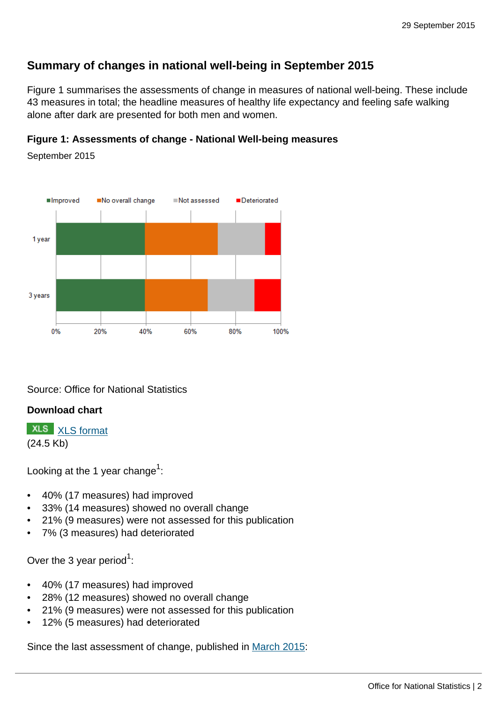# **Summary of changes in national well-being in September 2015**

Figure 1 summarises the assessments of change in measures of national well-being. These include 43 measures in total; the headline measures of healthy life expectancy and feeling safe walking alone after dark are presented for both men and women.

#### **Figure 1: Assessments of change - National Well-being measures**

No overall change Deteriorated **Improved** Not assessed 1 year 3 years  $0%$ 20% 40% 60% 80% 100%

September 2015

Source: Office for National Statistics

#### **Download chart**

**XLS** [XLS format](http://www.ons.gov.uk:80/ons/rel/wellbeing/measuring-national-well-being/domains-and-measures---september-2015/chd-fig-1.xls) (24.5 Kb)

Looking at the 1 year change $^{\rm 1}$ :

- 40% (17 measures) had improved
- 33% (14 measures) showed no overall change
- 21% (9 measures) were not assessed for this publication
- 7% (3 measures) had deteriorated

Over the 3 year period $^1$ :

- 40% (17 measures) had improved
- 28% (12 measures) showed no overall change
- 21% (9 measures) were not assessed for this publication
- 12% (5 measures) had deteriorated

Since the last assessment of change, published in [March 2015](http://www.ons.gov.uk:80/ons/rel/wellbeing/measuring-national-well-being/life-in-the-uk--2015/art-mnwb-life-in-the-uk-2015.html):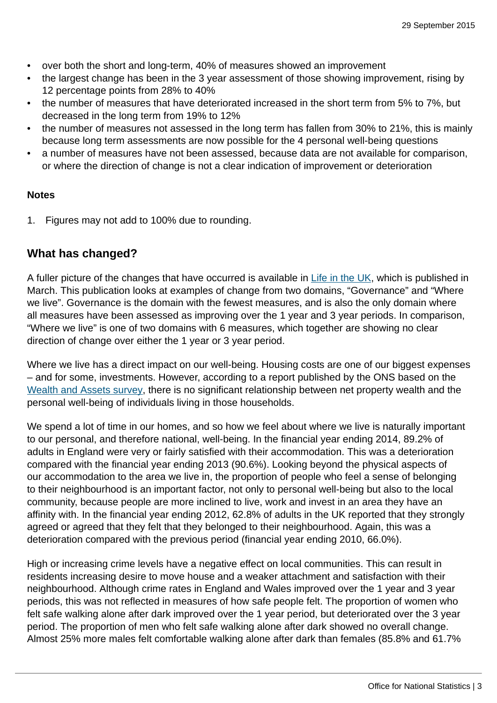- over both the short and long-term, 40% of measures showed an improvement
- the largest change has been in the 3 year assessment of those showing improvement, rising by 12 percentage points from 28% to 40%
- the number of measures that have deteriorated increased in the short term from 5% to 7%, but decreased in the long term from 19% to 12%
- the number of measures not assessed in the long term has fallen from 30% to 21%, this is mainly because long term assessments are now possible for the 4 personal well-being questions
- a number of measures have not been assessed, because data are not available for comparison, or where the direction of change is not a clear indication of improvement or deterioration

#### **Notes**

1. Figures may not add to 100% due to rounding.

#### **What has changed?**

A fuller picture of the changes that have occurred is available in [Life in the UK](http://www.ons.gov.uk:80/ons/rel/wellbeing/measuring-national-well-being/life-in-the-uk--2015/art-mnwb-life-in-the-uk-2015.html), which is published in March. This publication looks at examples of change from two domains, "Governance" and "Where we live". Governance is the domain with the fewest measures, and is also the only domain where all measures have been assessed as improving over the 1 year and 3 year periods. In comparison, "Where we live" is one of two domains with 6 measures, which together are showing no clear direction of change over either the 1 year or 3 year period.

Where we live has a direct impact on our well-being. Housing costs are one of our biggest expenses – and for some, investments. However, according to a report published by the ONS based on the [Wealth and Assets survey,](http://www.ons.gov.uk:80/ons/rel/was/wealth-in-great-britain-wave-3/wealth--income-and-personal-well-being/index.html) there is no significant relationship between net property wealth and the personal well-being of individuals living in those households.

We spend a lot of time in our homes, and so how we feel about where we live is naturally important to our personal, and therefore national, well-being. In the financial year ending 2014, 89.2% of adults in England were very or fairly satisfied with their accommodation. This was a deterioration compared with the financial year ending 2013 (90.6%). Looking beyond the physical aspects of our accommodation to the area we live in, the proportion of people who feel a sense of belonging to their neighbourhood is an important factor, not only to personal well-being but also to the local community, because people are more inclined to live, work and invest in an area they have an affinity with. In the financial year ending 2012, 62.8% of adults in the UK reported that they strongly agreed or agreed that they felt that they belonged to their neighbourhood. Again, this was a deterioration compared with the previous period (financial year ending 2010, 66.0%).

High or increasing crime levels have a negative effect on local communities. This can result in residents increasing desire to move house and a weaker attachment and satisfaction with their neighbourhood. Although crime rates in England and Wales improved over the 1 year and 3 year periods, this was not reflected in measures of how safe people felt. The proportion of women who felt safe walking alone after dark improved over the 1 year period, but deteriorated over the 3 year period. The proportion of men who felt safe walking alone after dark showed no overall change. Almost 25% more males felt comfortable walking alone after dark than females (85.8% and 61.7%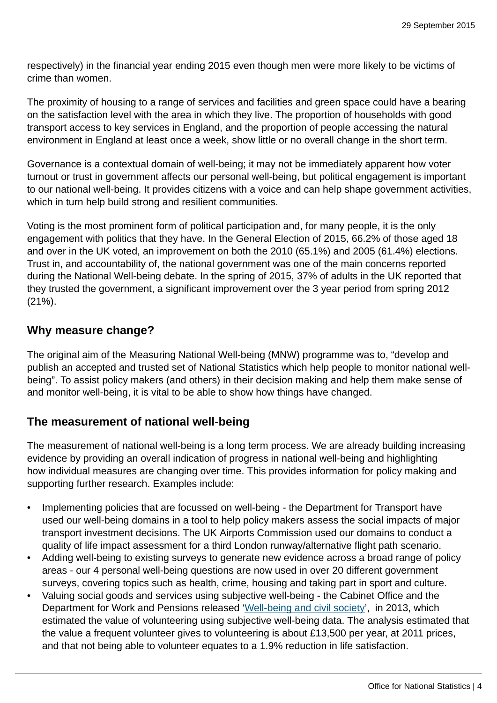respectively) in the financial year ending 2015 even though men were more likely to be victims of crime than women.

The proximity of housing to a range of services and facilities and green space could have a bearing on the satisfaction level with the area in which they live. The proportion of households with good transport access to key services in England, and the proportion of people accessing the natural environment in England at least once a week, show little or no overall change in the short term.

Governance is a contextual domain of well-being; it may not be immediately apparent how voter turnout or trust in government affects our personal well-being, but political engagement is important to our national well-being. It provides citizens with a voice and can help shape government activities, which in turn help build strong and resilient communities.

Voting is the most prominent form of political participation and, for many people, it is the only engagement with politics that they have. In the General Election of 2015, 66.2% of those aged 18 and over in the UK voted, an improvement on both the 2010 (65.1%) and 2005 (61.4%) elections. Trust in, and accountability of, the national government was one of the main concerns reported during the National Well-being debate. In the spring of 2015, 37% of adults in the UK reported that they trusted the government, a significant improvement over the 3 year period from spring 2012 (21%).

#### **Why measure change?**

The original aim of the Measuring National Well-being (MNW) programme was to, "develop and publish an accepted and trusted set of National Statistics which help people to monitor national wellbeing". To assist policy makers (and others) in their decision making and help them make sense of and monitor well-being, it is vital to be able to show how things have changed.

## **The measurement of national well-being**

The measurement of national well-being is a long term process. We are already building increasing evidence by providing an overall indication of progress in national well-being and highlighting how individual measures are changing over time. This provides information for policy making and supporting further research. Examples include:

- Implementing policies that are focussed on well-being the Department for Transport have used our well-being domains in a tool to help policy makers assess the social impacts of major transport investment decisions. The UK Airports Commission used our domains to conduct a quality of life impact assessment for a third London runway/alternative flight path scenario.
- Adding well-being to existing surveys to generate new evidence across a broad range of policy areas - our 4 personal well-being questions are now used in over 20 different government surveys, covering topics such as health, crime, housing and taking part in sport and culture.
- Valuing social goods and services using subjective well-being the Cabinet Office and the Department for Work and Pensions released '[Well-being and civil society'](https://www.gov.uk/government/publications/wellbeing-and-civil-society-estimating-the-value-of-volunteering-using-subjective-wellbeing-data-wp112), in 2013, which estimated the value of volunteering using subjective well-being data. The analysis estimated that the value a frequent volunteer gives to volunteering is about £13,500 per year, at 2011 prices, and that not being able to volunteer equates to a 1.9% reduction in life satisfaction.